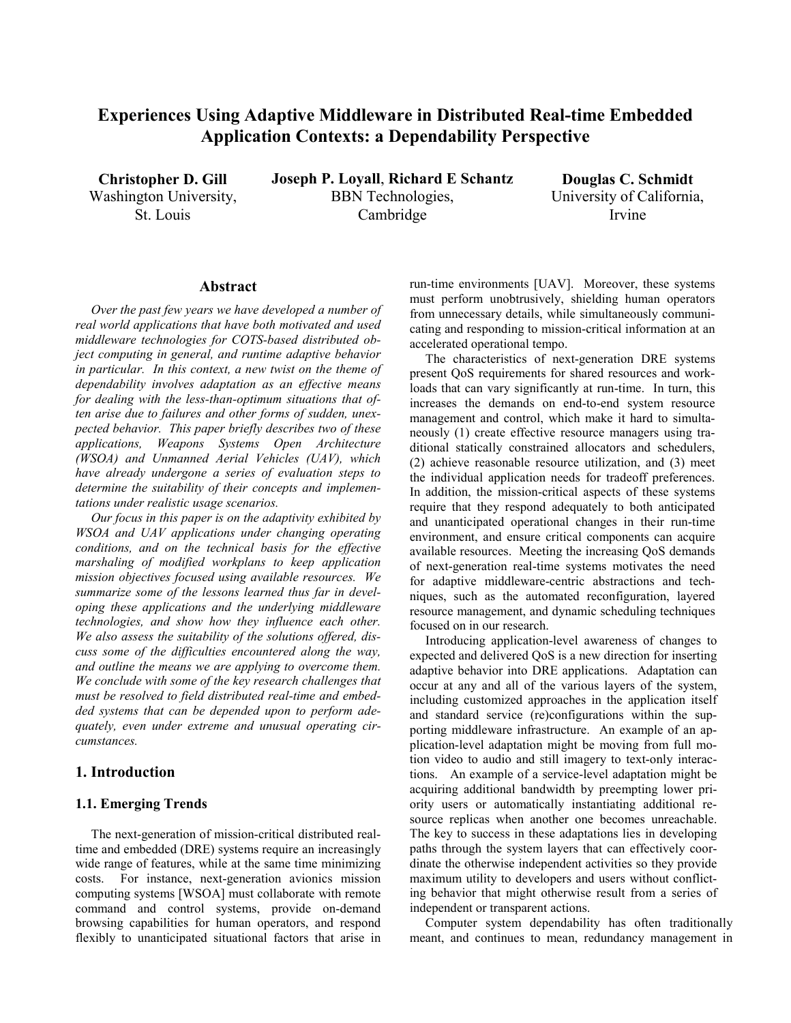# **Experiences Using Adaptive Middleware in Distributed Real-time Embedded Application Contexts: a Dependability Perspective**

**Christopher D. Gill** Washington University, St. Louis

**Joseph P. Loyall**, **Richard E Schantz** BBN Technologies, Cambridge

**Douglas C. Schmidt** University of California, Irvine

## **Abstract**

*Over the past few years we have developed a number of real world applications that have both motivated and used middleware technologies for COTS-based distributed object computing in general, and runtime adaptive behavior in particular. In this context, a new twist on the theme of dependability involves adaptation as an effective means for dealing with the less-than-optimum situations that often arise due to failures and other forms of sudden, unexpected behavior. This paper briefly describes two of these applications, Weapons Systems Open Architecture (WSOA) and Unmanned Aerial Vehicles (UAV), which have already undergone a series of evaluation steps to determine the suitability of their concepts and implementations under realistic usage scenarios.*

*Our focus in this paper is on the adaptivity exhibited by WSOA and UAV applications under changing operating conditions, and on the technical basis for the effective marshaling of modified workplans to keep application mission objectives focused using available resources. We summarize some of the lessons learned thus far in developing these applications and the underlying middleware technologies, and show how they influence each other. We also assess the suitability of the solutions offered, discuss some of the difficulties encountered along the way, and outline the means we are applying to overcome them. We conclude with some of the key research challenges that must be resolved to field distributed real-time and embedded systems that can be depended upon to perform adequately, even under extreme and unusual operating circumstances.*

# **1. Introduction**

#### **1.1. Emerging Trends**

The next-generation of mission-critical distributed realtime and embedded (DRE) systems require an increasingly wide range of features, while at the same time minimizing costs. For instance, next-generation avionics mission computing systems [WSOA] must collaborate with remote command and control systems, provide on-demand browsing capabilities for human operators, and respond flexibly to unanticipated situational factors that arise in run-time environments [UAV]. Moreover, these systems must perform unobtrusively, shielding human operators from unnecessary details, while simultaneously communicating and responding to mission-critical information at an accelerated operational tempo.

The characteristics of next-generation DRE systems present QoS requirements for shared resources and workloads that can vary significantly at run-time. In turn, this increases the demands on end-to-end system resource management and control, which make it hard to simultaneously (1) create effective resource managers using traditional statically constrained allocators and schedulers, (2) achieve reasonable resource utilization, and (3) meet the individual application needs for tradeoff preferences. In addition, the mission-critical aspects of these systems require that they respond adequately to both anticipated and unanticipated operational changes in their run-time environment, and ensure critical components can acquire available resources. Meeting the increasing QoS demands of next-generation real-time systems motivates the need for adaptive middleware-centric abstractions and techniques, such as the automated reconfiguration, layered resource management, and dynamic scheduling techniques focused on in our research.

Introducing application-level awareness of changes to expected and delivered QoS is a new direction for inserting adaptive behavior into DRE applications. Adaptation can occur at any and all of the various layers of the system, including customized approaches in the application itself and standard service (re)configurations within the supporting middleware infrastructure. An example of an application-level adaptation might be moving from full motion video to audio and still imagery to text-only interactions. An example of a service-level adaptation might be acquiring additional bandwidth by preempting lower priority users or automatically instantiating additional resource replicas when another one becomes unreachable. The key to success in these adaptations lies in developing paths through the system layers that can effectively coordinate the otherwise independent activities so they provide maximum utility to developers and users without conflicting behavior that might otherwise result from a series of independent or transparent actions.

Computer system dependability has often traditionally meant, and continues to mean, redundancy management in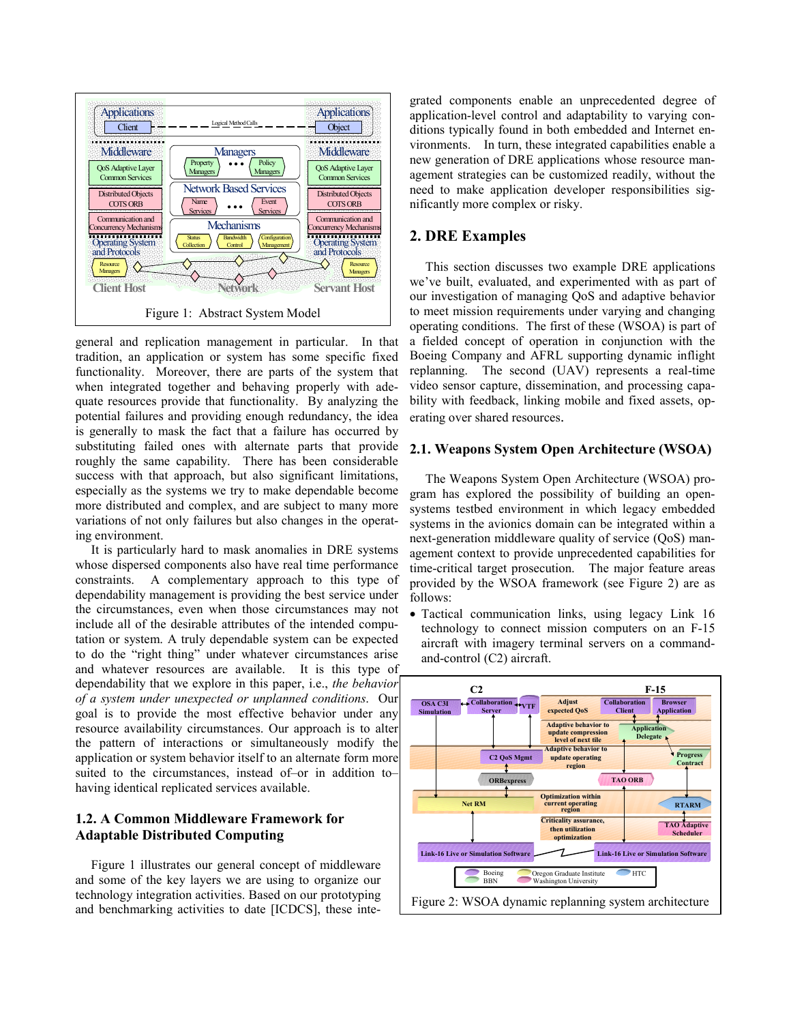

general and replication management in particular. In that tradition, an application or system has some specific fixed functionality. Moreover, there are parts of the system that when integrated together and behaving properly with adequate resources provide that functionality. By analyzing the potential failures and providing enough redundancy, the idea is generally to mask the fact that a failure has occurred by substituting failed ones with alternate parts that provide roughly the same capability. There has been considerable success with that approach, but also significant limitations, especially as the systems we try to make dependable become more distributed and complex, and are subject to many more variations of not only failures but also changes in the operating environment.

It is particularly hard to mask anomalies in DRE systems whose dispersed components also have real time performance constraints. A complementary approach to this type of dependability management is providing the best service under the circumstances, even when those circumstances may not include all of the desirable attributes of the intended computation or system. A truly dependable system can be expected to do the "right thing" under whatever circumstances arise and whatever resources are available. It is this type of dependability that we explore in this paper, i.e., *the behavior of a system under unexpected or unplanned conditions*. Our goal is to provide the most effective behavior under any resource availability circumstances. Our approach is to alter the pattern of interactions or simultaneously modify the application or system behavior itself to an alternate form more suited to the circumstances, instead of–or in addition to– having identical replicated services available.

# **1.2. A Common Middleware Framework for Adaptable Distributed Computing**

Figure 1 illustrates our general concept of middleware and some of the key layers we are using to organize our technology integration activities. Based on our prototyping and benchmarking activities to date [ICDCS], these inte-

grated components enable an unprecedented degree of application-level control and adaptability to varying conditions typically found in both embedded and Internet environments. In turn, these integrated capabilities enable a new generation of DRE applications whose resource management strategies can be customized readily, without the need to make application developer responsibilities significantly more complex or risky.

# **2. DRE Examples**

This section discusses two example DRE applications we've built, evaluated, and experimented with as part of our investigation of managing QoS and adaptive behavior to meet mission requirements under varying and changing operating conditions. The first of these (WSOA) is part of a fielded concept of operation in conjunction with the Boeing Company and AFRL supporting dynamic inflight replanning. The second (UAV) represents a real-time video sensor capture, dissemination, and processing capability with feedback, linking mobile and fixed assets, operating over shared resources.

### **2.1. Weapons System Open Architecture (WSOA)**

The Weapons System Open Architecture (WSOA) program has explored the possibility of building an opensystems testbed environment in which legacy embedded systems in the avionics domain can be integrated within a next-generation middleware quality of service (QoS) management context to provide unprecedented capabilities for time-critical target prosecution. The major feature areas provided by the WSOA framework (see Figure 2) are as follows:

• Tactical communication links, using legacy Link 16 technology to connect mission computers on an F-15 aircraft with imagery terminal servers on a commandand-control (C2) aircraft.

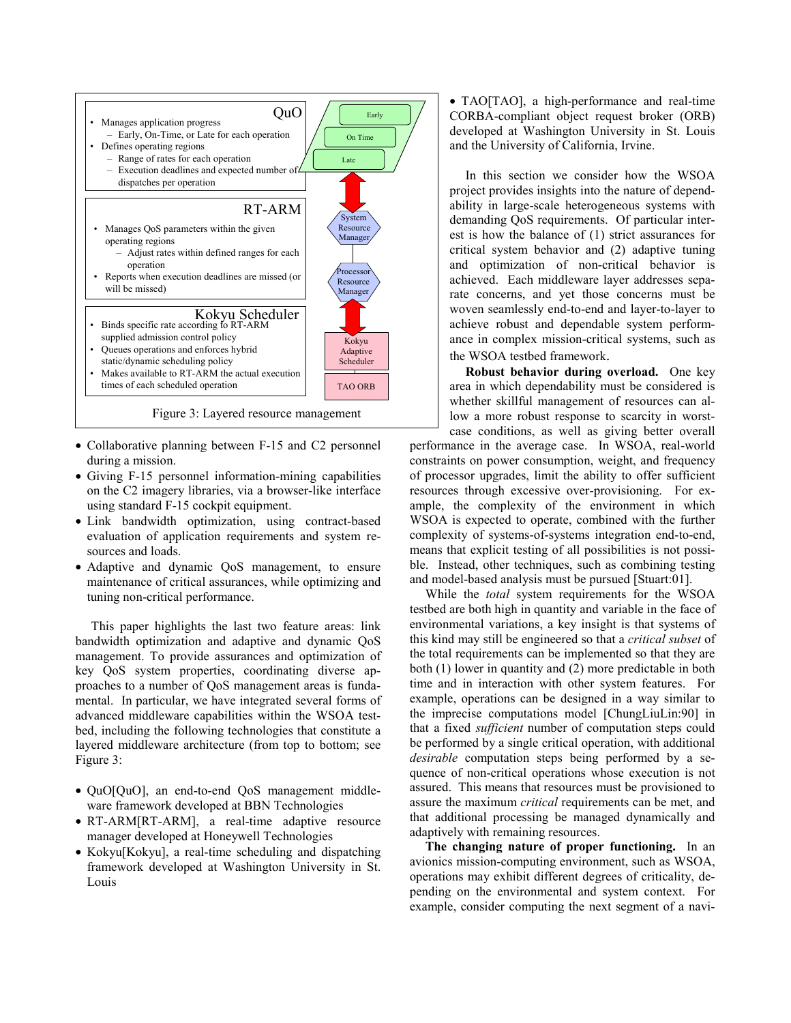

- Collaborative planning between F-15 and C2 personnel during a mission.
- Giving F-15 personnel information-mining capabilities on the C2 imagery libraries, via a browser-like interface using standard F-15 cockpit equipment.
- Link bandwidth optimization, using contract-based evaluation of application requirements and system resources and loads.
- Adaptive and dynamic QoS management, to ensure maintenance of critical assurances, while optimizing and tuning non-critical performance.

This paper highlights the last two feature areas: link bandwidth optimization and adaptive and dynamic QoS management. To provide assurances and optimization of key QoS system properties, coordinating diverse approaches to a number of QoS management areas is fundamental. In particular, we have integrated several forms of advanced middleware capabilities within the WSOA testbed, including the following technologies that constitute a layered middleware architecture (from top to bottom; see Figure 3:

- QuO[QuO], an end-to-end QoS management middleware framework developed at BBN Technologies
- RT-ARM[RT-ARM], a real-time adaptive resource manager developed at Honeywell Technologies
- Kokyu[Kokyu], a real-time scheduling and dispatching framework developed at Washington University in St. Louis

• TAO[TAO], a high-performance and real-time CORBA-compliant object request broker (ORB) developed at Washington University in St. Louis and the University of California, Irvine.

In this section we consider how the WSOA project provides insights into the nature of dependability in large-scale heterogeneous systems with demanding QoS requirements. Of particular interest is how the balance of (1) strict assurances for critical system behavior and (2) adaptive tuning and optimization of non-critical behavior is achieved. Each middleware layer addresses separate concerns, and yet those concerns must be woven seamlessly end-to-end and layer-to-layer to achieve robust and dependable system performance in complex mission-critical systems, such as the WSOA testbed framework.

**Robust behavior during overload.** One key area in which dependability must be considered is whether skillful management of resources can allow a more robust response to scarcity in worstcase conditions, as well as giving better overall

performance in the average case. In WSOA, real-world constraints on power consumption, weight, and frequency of processor upgrades, limit the ability to offer sufficient resources through excessive over-provisioning. For example, the complexity of the environment in which WSOA is expected to operate, combined with the further complexity of systems-of-systems integration end-to-end, means that explicit testing of all possibilities is not possible. Instead, other techniques, such as combining testing and model-based analysis must be pursued [Stuart:01].

While the *total* system requirements for the WSOA testbed are both high in quantity and variable in the face of environmental variations, a key insight is that systems of this kind may still be engineered so that a *critical subset* of the total requirements can be implemented so that they are both (1) lower in quantity and (2) more predictable in both time and in interaction with other system features. For example, operations can be designed in a way similar to the imprecise computations model [ChungLiuLin:90] in that a fixed *sufficient* number of computation steps could be performed by a single critical operation, with additional *desirable* computation steps being performed by a sequence of non-critical operations whose execution is not assured. This means that resources must be provisioned to assure the maximum *critical* requirements can be met, and that additional processing be managed dynamically and adaptively with remaining resources.

**The changing nature of proper functioning.** In an avionics mission-computing environment, such as WSOA, operations may exhibit different degrees of criticality, depending on the environmental and system context. For example, consider computing the next segment of a navi-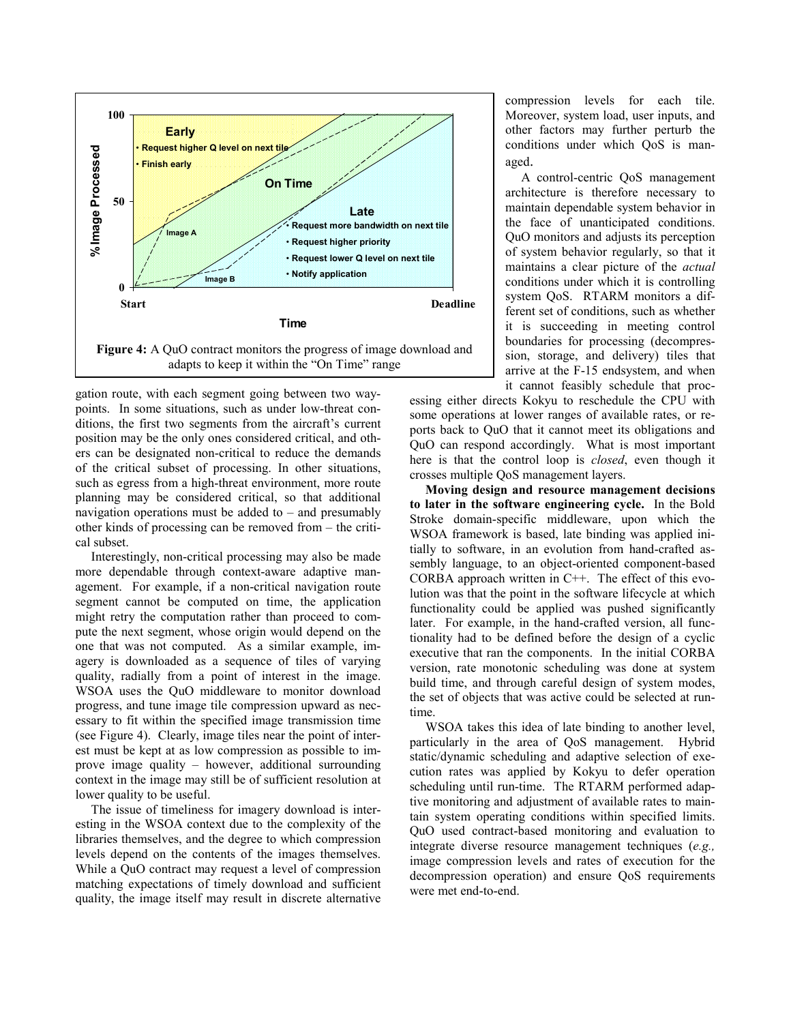

gation route, with each segment going between two waypoints. In some situations, such as under low-threat conditions, the first two segments from the aircraft's current position may be the only ones considered critical, and others can be designated non-critical to reduce the demands of the critical subset of processing. In other situations, such as egress from a high-threat environment, more route planning may be considered critical, so that additional navigation operations must be added to  $-$  and presumably other kinds of processing can be removed from – the critical subset.

Interestingly, non-critical processing may also be made more dependable through context-aware adaptive management. For example, if a non-critical navigation route segment cannot be computed on time, the application might retry the computation rather than proceed to compute the next segment, whose origin would depend on the one that was not computed. As a similar example, imagery is downloaded as a sequence of tiles of varying quality, radially from a point of interest in the image. WSOA uses the QuO middleware to monitor download progress, and tune image tile compression upward as necessary to fit within the specified image transmission time (see Figure 4). Clearly, image tiles near the point of interest must be kept at as low compression as possible to improve image quality – however, additional surrounding context in the image may still be of sufficient resolution at lower quality to be useful.

The issue of timeliness for imagery download is interesting in the WSOA context due to the complexity of the libraries themselves, and the degree to which compression levels depend on the contents of the images themselves. While a QuO contract may request a level of compression matching expectations of timely download and sufficient quality, the image itself may result in discrete alternative

compression levels for each tile. Moreover, system load, user inputs, and other factors may further perturb the conditions under which QoS is managed.

A control-centric QoS management architecture is therefore necessary to maintain dependable system behavior in the face of unanticipated conditions. QuO monitors and adjusts its perception of system behavior regularly, so that it maintains a clear picture of the *actual* conditions under which it is controlling system QoS. RTARM monitors a different set of conditions, such as whether it is succeeding in meeting control boundaries for processing (decompression, storage, and delivery) tiles that arrive at the F-15 endsystem, and when it cannot feasibly schedule that proc-

essing either directs Kokyu to reschedule the CPU with some operations at lower ranges of available rates, or reports back to QuO that it cannot meet its obligations and QuO can respond accordingly. What is most important here is that the control loop is *closed*, even though it crosses multiple QoS management layers.

**Moving design and resource management decisions to later in the software engineering cycle.** In the Bold Stroke domain-specific middleware, upon which the WSOA framework is based, late binding was applied initially to software, in an evolution from hand-crafted assembly language, to an object-oriented component-based CORBA approach written in C++. The effect of this evolution was that the point in the software lifecycle at which functionality could be applied was pushed significantly later. For example, in the hand-crafted version, all functionality had to be defined before the design of a cyclic executive that ran the components. In the initial CORBA version, rate monotonic scheduling was done at system build time, and through careful design of system modes, the set of objects that was active could be selected at runtime.

WSOA takes this idea of late binding to another level, particularly in the area of QoS management. Hybrid static/dynamic scheduling and adaptive selection of execution rates was applied by Kokyu to defer operation scheduling until run-time. The RTARM performed adaptive monitoring and adjustment of available rates to maintain system operating conditions within specified limits. QuO used contract-based monitoring and evaluation to integrate diverse resource management techniques (*e.g.,* image compression levels and rates of execution for the decompression operation) and ensure QoS requirements were met end-to-end.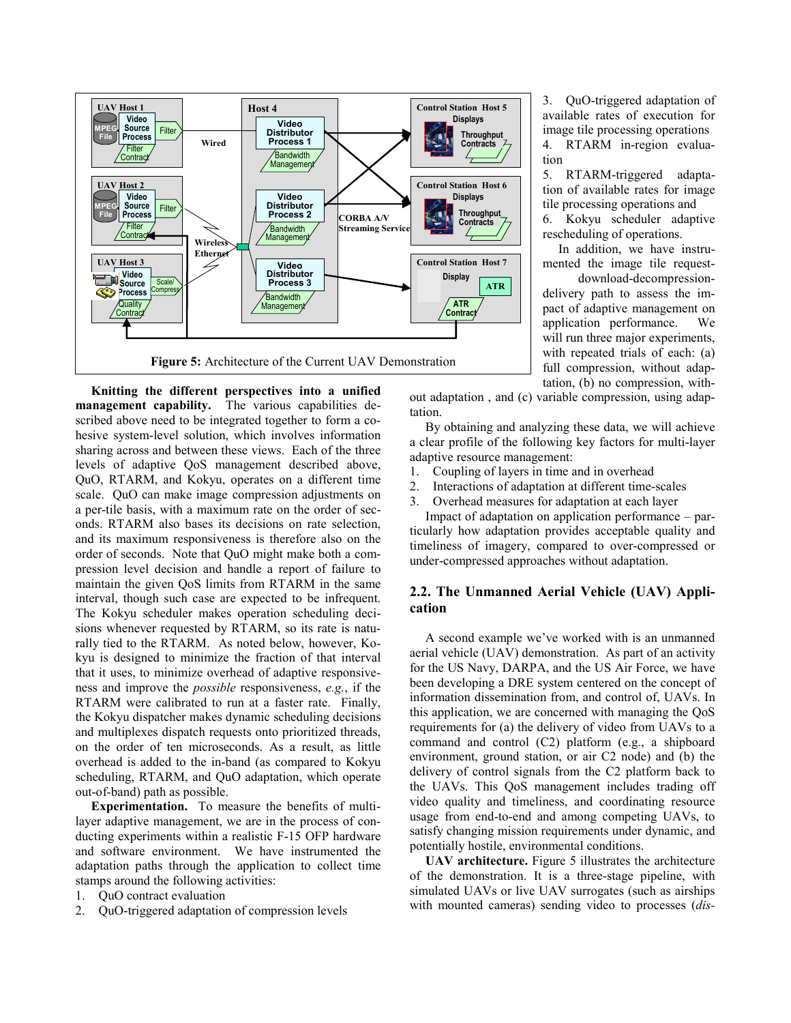

**Knitting the different perspectives into a unified management capability.** The various capabilities described above need to be integrated together to form a cohesive system-level solution, which involves information sharing across and between these views. Each of the three levels of adaptive QoS management described above, QuO, RTARM, and Kokyu, operates on a different time scale. QuO can make image compression adjustments on a per-tile basis, with a maximum rate on the order of seconds. RTARM also bases its decisions on rate selection, and its maximum responsiveness is therefore also on the order of seconds. Note that QuO might make both a compression level decision and handle a report of failure to maintain the given QoS limits from RTARM in the same interval, though such case are expected to be infrequent. The Kokyu scheduler makes operation scheduling decisions whenever requested by RTARM, so its rate is naturally tied to the RTARM. As noted below, however, Kokyu is designed to minimize the fraction of that interval that it uses, to minimize overhead of adaptive responsiveness and improve the *possible* responsiveness, *e.g.*, if the RTARM were calibrated to run at a faster rate. Finally, the Kokyu dispatcher makes dynamic scheduling decisions and multiplexes dispatch requests onto prioritized threads, on the order of ten microseconds. As a result, as little overhead is added to the in-band (as compared to Kokyu scheduling, RTARM, and QuO adaptation, which operate out-of-band) path as possible.

**Experimentation.** To measure the benefits of multilayer adaptive management, we are in the process of conducting experiments within a realistic F-15 OFP hardware and software environment. We have instrumented the adaptation paths through the application to collect time stamps around the following activities:

- 1. QuO contract evaluation
- 2. QuO-triggered adaptation of compression levels

3. QuO-triggered adaptation of available rates of execution for image tile processing operations 4. RTARM in-region evaluation

5. RTARM-triggered adaptation of available rates for image tile processing operations and

6. Kokyu scheduler adaptive rescheduling of operations.

In addition, we have instrumented the image tile request-

download-decompressiondelivery path to assess the impact of adaptive management on application performance. We will run three major experiments, with repeated trials of each: (a) full compression, without adaptation, (b) no compression, with-

out adaptation , and (c) variable compression, using adaptation.

By obtaining and analyzing these data, we will achieve a clear profile of the following key factors for multi-layer adaptive resource management:

- 1. Coupling of layers in time and in overhead
- 2. Interactions of adaptation at different time-scales
- 3. Overhead measures for adaptation at each layer

Impact of adaptation on application performance – particularly how adaptation provides acceptable quality and timeliness of imagery, compared to over-compressed or under-compressed approaches without adaptation.

#### **2.2. The Unmanned Aerial Vehicle (UAV) Application**

A second example we've worked with is an unmanned aerial vehicle (UAV) demonstration. As part of an activity for the US Navy, DARPA, and the US Air Force, we have been developing a DRE system centered on the concept of information dissemination from, and control of, UAVs. In this application, we are concerned with managing the QoS requirements for (a) the delivery of video from UAVs to a command and control (C2) platform (e.g., a shipboard environment, ground station, or air C2 node) and (b) the delivery of control signals from the C2 platform back to the UAVs. This QoS management includes trading off video quality and timeliness, and coordinating resource usage from end-to-end and among competing UAVs, to satisfy changing mission requirements under dynamic, and potentially hostile, environmental conditions.

**UAV architecture.** Figure 5 illustrates the architecture of the demonstration. It is a three-stage pipeline, with simulated UAVs or live UAV surrogates (such as airships with mounted cameras) sending video to processes (*dis-*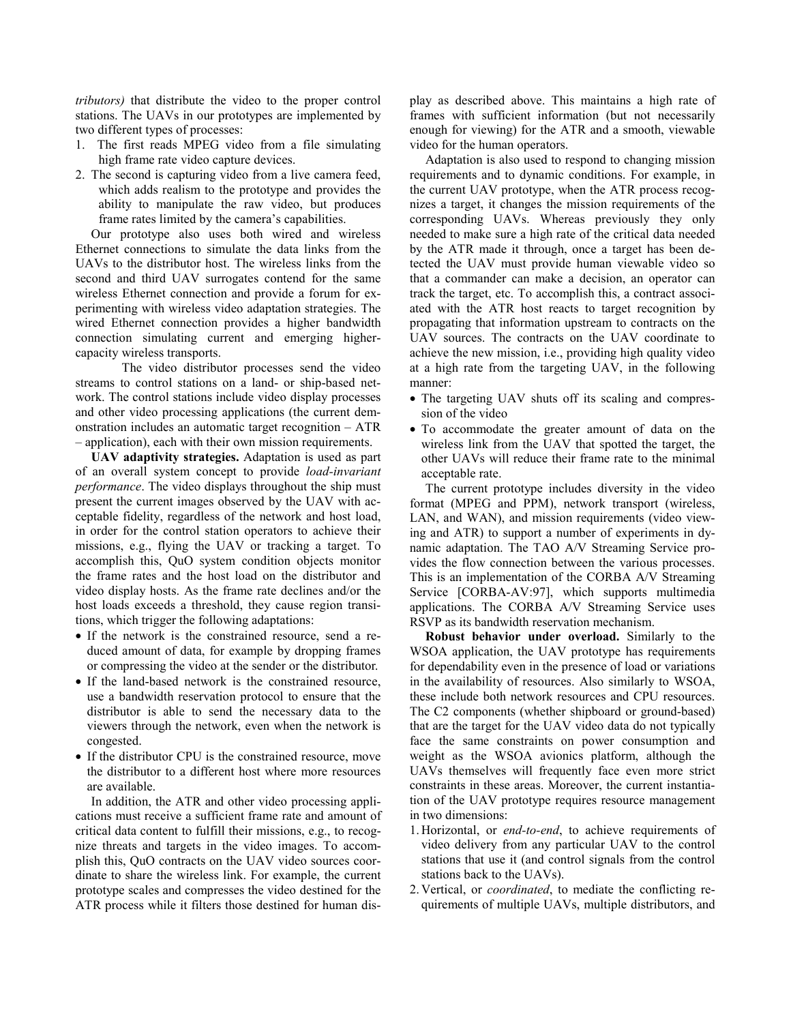*tributors)* that distribute the video to the proper control stations. The UAVs in our prototypes are implemented by two different types of processes:

- 1. The first reads MPEG video from a file simulating high frame rate video capture devices.
- 2. The second is capturing video from a live camera feed, which adds realism to the prototype and provides the ability to manipulate the raw video, but produces frame rates limited by the camera's capabilities.

Our prototype also uses both wired and wireless Ethernet connections to simulate the data links from the UAVs to the distributor host. The wireless links from the second and third UAV surrogates contend for the same wireless Ethernet connection and provide a forum for experimenting with wireless video adaptation strategies. The wired Ethernet connection provides a higher bandwidth connection simulating current and emerging highercapacity wireless transports.

The video distributor processes send the video streams to control stations on a land- or ship-based network. The control stations include video display processes and other video processing applications (the current demonstration includes an automatic target recognition – ATR – application), each with their own mission requirements.

**UAV adaptivity strategies.** Adaptation is used as part of an overall system concept to provide *load-invariant performance*. The video displays throughout the ship must present the current images observed by the UAV with acceptable fidelity, regardless of the network and host load, in order for the control station operators to achieve their missions, e.g., flying the UAV or tracking a target. To accomplish this, QuO system condition objects monitor the frame rates and the host load on the distributor and video display hosts. As the frame rate declines and/or the host loads exceeds a threshold, they cause region transitions, which trigger the following adaptations:

- If the network is the constrained resource, send a reduced amount of data, for example by dropping frames or compressing the video at the sender or the distributor.
- If the land-based network is the constrained resource, use a bandwidth reservation protocol to ensure that the distributor is able to send the necessary data to the viewers through the network, even when the network is congested.
- If the distributor CPU is the constrained resource, move the distributor to a different host where more resources are available.

In addition, the ATR and other video processing applications must receive a sufficient frame rate and amount of critical data content to fulfill their missions, e.g., to recognize threats and targets in the video images. To accomplish this, QuO contracts on the UAV video sources coordinate to share the wireless link. For example, the current prototype scales and compresses the video destined for the ATR process while it filters those destined for human display as described above. This maintains a high rate of frames with sufficient information (but not necessarily enough for viewing) for the ATR and a smooth, viewable video for the human operators.

Adaptation is also used to respond to changing mission requirements and to dynamic conditions. For example, in the current UAV prototype, when the ATR process recognizes a target, it changes the mission requirements of the corresponding UAVs. Whereas previously they only needed to make sure a high rate of the critical data needed by the ATR made it through, once a target has been detected the UAV must provide human viewable video so that a commander can make a decision, an operator can track the target, etc. To accomplish this, a contract associated with the ATR host reacts to target recognition by propagating that information upstream to contracts on the UAV sources. The contracts on the UAV coordinate to achieve the new mission, i.e., providing high quality video at a high rate from the targeting UAV, in the following manner:

- The targeting UAV shuts off its scaling and compression of the video
- To accommodate the greater amount of data on the wireless link from the UAV that spotted the target, the other UAVs will reduce their frame rate to the minimal acceptable rate.

The current prototype includes diversity in the video format (MPEG and PPM), network transport (wireless, LAN, and WAN), and mission requirements (video viewing and ATR) to support a number of experiments in dynamic adaptation. The TAO A/V Streaming Service provides the flow connection between the various processes. This is an implementation of the CORBA A/V Streaming Service [CORBA-AV:97], which supports multimedia applications. The CORBA A/V Streaming Service uses RSVP as its bandwidth reservation mechanism.

**Robust behavior under overload.** Similarly to the WSOA application, the UAV prototype has requirements for dependability even in the presence of load or variations in the availability of resources. Also similarly to WSOA, these include both network resources and CPU resources. The C2 components (whether shipboard or ground-based) that are the target for the UAV video data do not typically face the same constraints on power consumption and weight as the WSOA avionics platform, although the UAVs themselves will frequently face even more strict constraints in these areas. Moreover, the current instantiation of the UAV prototype requires resource management in two dimensions:

- 1. Horizontal, or *end-to-end*, to achieve requirements of video delivery from any particular UAV to the control stations that use it (and control signals from the control stations back to the UAVs).
- 2. Vertical, or *coordinated*, to mediate the conflicting requirements of multiple UAVs, multiple distributors, and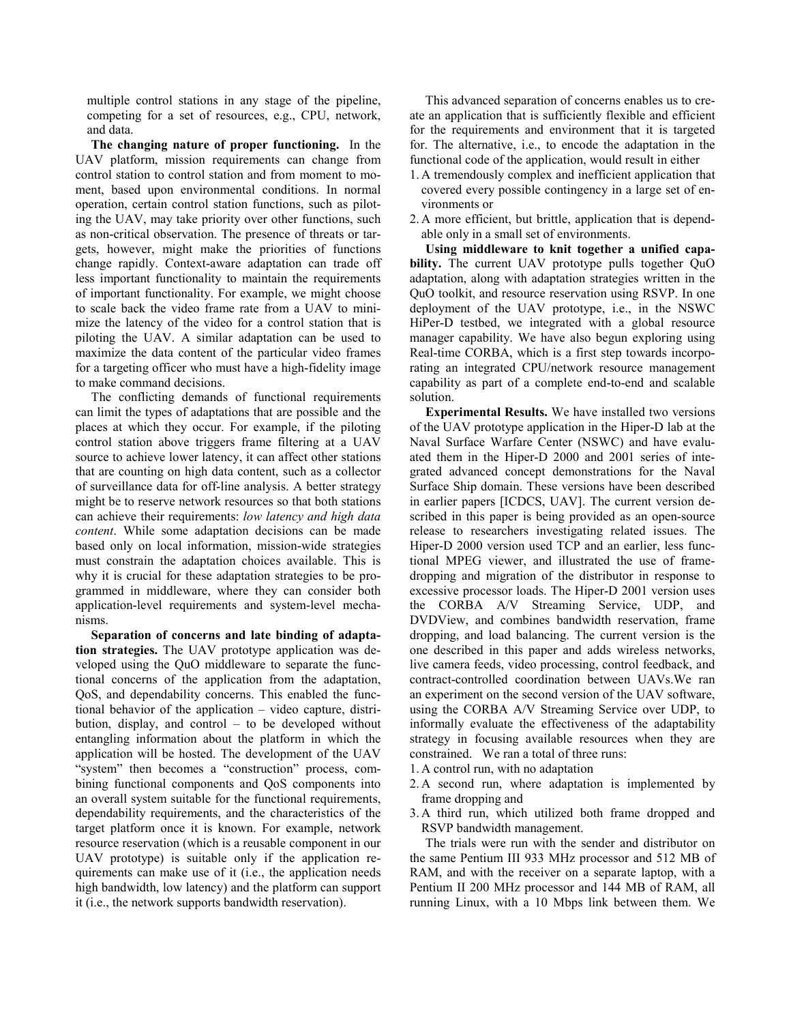multiple control stations in any stage of the pipeline, competing for a set of resources, e.g., CPU, network, and data.

**The changing nature of proper functioning.** In the UAV platform, mission requirements can change from control station to control station and from moment to moment, based upon environmental conditions. In normal operation, certain control station functions, such as piloting the UAV, may take priority over other functions, such as non-critical observation. The presence of threats or targets, however, might make the priorities of functions change rapidly. Context-aware adaptation can trade off less important functionality to maintain the requirements of important functionality. For example, we might choose to scale back the video frame rate from a UAV to minimize the latency of the video for a control station that is piloting the UAV. A similar adaptation can be used to maximize the data content of the particular video frames for a targeting officer who must have a high-fidelity image to make command decisions.

The conflicting demands of functional requirements can limit the types of adaptations that are possible and the places at which they occur. For example, if the piloting control station above triggers frame filtering at a UAV source to achieve lower latency, it can affect other stations that are counting on high data content, such as a collector of surveillance data for off-line analysis. A better strategy might be to reserve network resources so that both stations can achieve their requirements: *low latency and high data content*. While some adaptation decisions can be made based only on local information, mission-wide strategies must constrain the adaptation choices available. This is why it is crucial for these adaptation strategies to be programmed in middleware, where they can consider both application-level requirements and system-level mechanisms.

**Separation of concerns and late binding of adaptation strategies.** The UAV prototype application was developed using the QuO middleware to separate the functional concerns of the application from the adaptation, QoS, and dependability concerns. This enabled the functional behavior of the application – video capture, distribution, display, and control – to be developed without entangling information about the platform in which the application will be hosted. The development of the UAV "system" then becomes a "construction" process, combining functional components and QoS components into an overall system suitable for the functional requirements, dependability requirements, and the characteristics of the target platform once it is known. For example, network resource reservation (which is a reusable component in our UAV prototype) is suitable only if the application requirements can make use of it (i.e., the application needs high bandwidth, low latency) and the platform can support it (i.e., the network supports bandwidth reservation).

This advanced separation of concerns enables us to create an application that is sufficiently flexible and efficient for the requirements and environment that it is targeted for. The alternative, i.e., to encode the adaptation in the functional code of the application, would result in either

- 1. A tremendously complex and inefficient application that covered every possible contingency in a large set of environments or
- 2. A more efficient, but brittle, application that is dependable only in a small set of environments.

**Using middleware to knit together a unified capability.** The current UAV prototype pulls together QuO adaptation, along with adaptation strategies written in the QuO toolkit, and resource reservation using RSVP. In one deployment of the UAV prototype, i.e., in the NSWC HiPer-D testbed, we integrated with a global resource manager capability. We have also begun exploring using Real-time CORBA, which is a first step towards incorporating an integrated CPU/network resource management capability as part of a complete end-to-end and scalable solution.

**Experimental Results.** We have installed two versions of the UAV prototype application in the Hiper-D lab at the Naval Surface Warfare Center (NSWC) and have evaluated them in the Hiper-D 2000 and 2001 series of integrated advanced concept demonstrations for the Naval Surface Ship domain. These versions have been described in earlier papers [ICDCS, UAV]. The current version described in this paper is being provided as an open-source release to researchers investigating related issues. The Hiper-D 2000 version used TCP and an earlier, less functional MPEG viewer, and illustrated the use of framedropping and migration of the distributor in response to excessive processor loads. The Hiper-D 2001 version uses the CORBA A/V Streaming Service, UDP, and DVDView, and combines bandwidth reservation, frame dropping, and load balancing. The current version is the one described in this paper and adds wireless networks, live camera feeds, video processing, control feedback, and contract-controlled coordination between UAVs.We ran an experiment on the second version of the UAV software, using the CORBA A/V Streaming Service over UDP, to informally evaluate the effectiveness of the adaptability strategy in focusing available resources when they are constrained. We ran a total of three runs:

- 1. A control run, with no adaptation
- 2. A second run, where adaptation is implemented by frame dropping and
- 3. A third run, which utilized both frame dropped and RSVP bandwidth management.

The trials were run with the sender and distributor on the same Pentium III 933 MHz processor and 512 MB of RAM, and with the receiver on a separate laptop, with a Pentium II 200 MHz processor and 144 MB of RAM, all running Linux, with a 10 Mbps link between them. We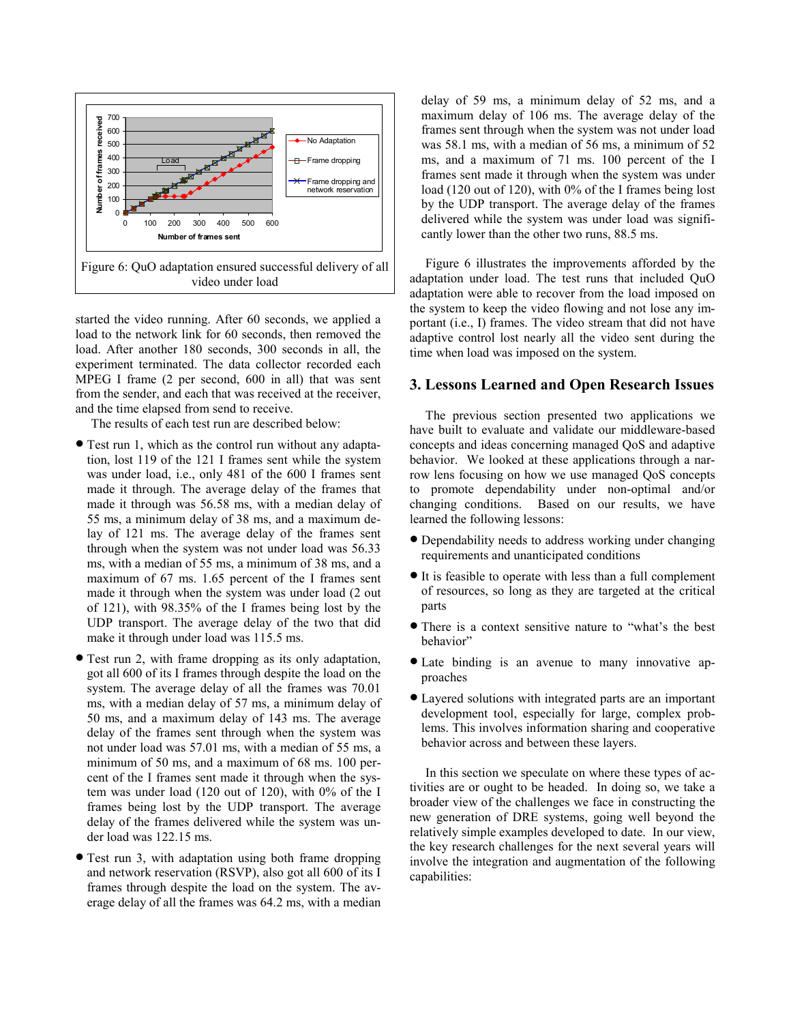

started the video running. After 60 seconds, we applied a load to the network link for 60 seconds, then removed the load. After another 180 seconds, 300 seconds in all, the experiment terminated. The data collector recorded each MPEG I frame (2 per second, 600 in all) that was sent from the sender, and each that was received at the receiver, and the time elapsed from send to receive.

The results of each test run are described below:

- Test run 1, which as the control run without any adaptation, lost 119 of the 121 I frames sent while the system was under load, i.e., only 481 of the 600 I frames sent made it through. The average delay of the frames that made it through was 56.58 ms, with a median delay of 55 ms, a minimum delay of 38 ms, and a maximum delay of 121 ms. The average delay of the frames sent through when the system was not under load was 56.33 ms, with a median of 55 ms, a minimum of 38 ms, and a maximum of 67 ms. 1.65 percent of the I frames sent made it through when the system was under load (2 out of 121), with 98.35% of the I frames being lost by the UDP transport. The average delay of the two that did make it through under load was 115.5 ms.
- Test run 2, with frame dropping as its only adaptation, got all 600 of its I frames through despite the load on the system. The average delay of all the frames was 70.01 ms, with a median delay of 57 ms, a minimum delay of 50 ms, and a maximum delay of 143 ms. The average delay of the frames sent through when the system was not under load was 57.01 ms, with a median of 55 ms, a minimum of 50 ms, and a maximum of 68 ms. 100 percent of the I frames sent made it through when the system was under load (120 out of 120), with 0% of the I frames being lost by the UDP transport. The average delay of the frames delivered while the system was under load was 122.15 ms.
- Test run 3, with adaptation using both frame dropping and network reservation (RSVP), also got all 600 of its I frames through despite the load on the system. The average delay of all the frames was 64.2 ms, with a median

delay of 59 ms, a minimum delay of 52 ms, and a maximum delay of 106 ms. The average delay of the frames sent through when the system was not under load was 58.1 ms, with a median of 56 ms, a minimum of 52 ms, and a maximum of 71 ms. 100 percent of the I frames sent made it through when the system was under load (120 out of 120), with 0% of the I frames being lost by the UDP transport. The average delay of the frames delivered while the system was under load was significantly lower than the other two runs, 88.5 ms.

Figure 6 illustrates the improvements afforded by the adaptation under load. The test runs that included QuO adaptation were able to recover from the load imposed on the system to keep the video flowing and not lose any important (i.e., I) frames. The video stream that did not have adaptive control lost nearly all the video sent during the time when load was imposed on the system.

#### **3. Lessons Learned and Open Research Issues**

The previous section presented two applications we have built to evaluate and validate our middleware-based concepts and ideas concerning managed QoS and adaptive behavior. We looked at these applications through a narrow lens focusing on how we use managed QoS concepts to promote dependability under non-optimal and/or changing conditions. Based on our results, we have learned the following lessons:

- Dependability needs to address working under changing requirements and unanticipated conditions
- It is feasible to operate with less than a full complement of resources, so long as they are targeted at the critical parts
- There is a context sensitive nature to "what's the best behavior"
- Late binding is an avenue to many innovative approaches
- Layered solutions with integrated parts are an important development tool, especially for large, complex problems. This involves information sharing and cooperative behavior across and between these layers.

In this section we speculate on where these types of activities are or ought to be headed. In doing so, we take a broader view of the challenges we face in constructing the new generation of DRE systems, going well beyond the relatively simple examples developed to date. In our view, the key research challenges for the next several years will involve the integration and augmentation of the following capabilities: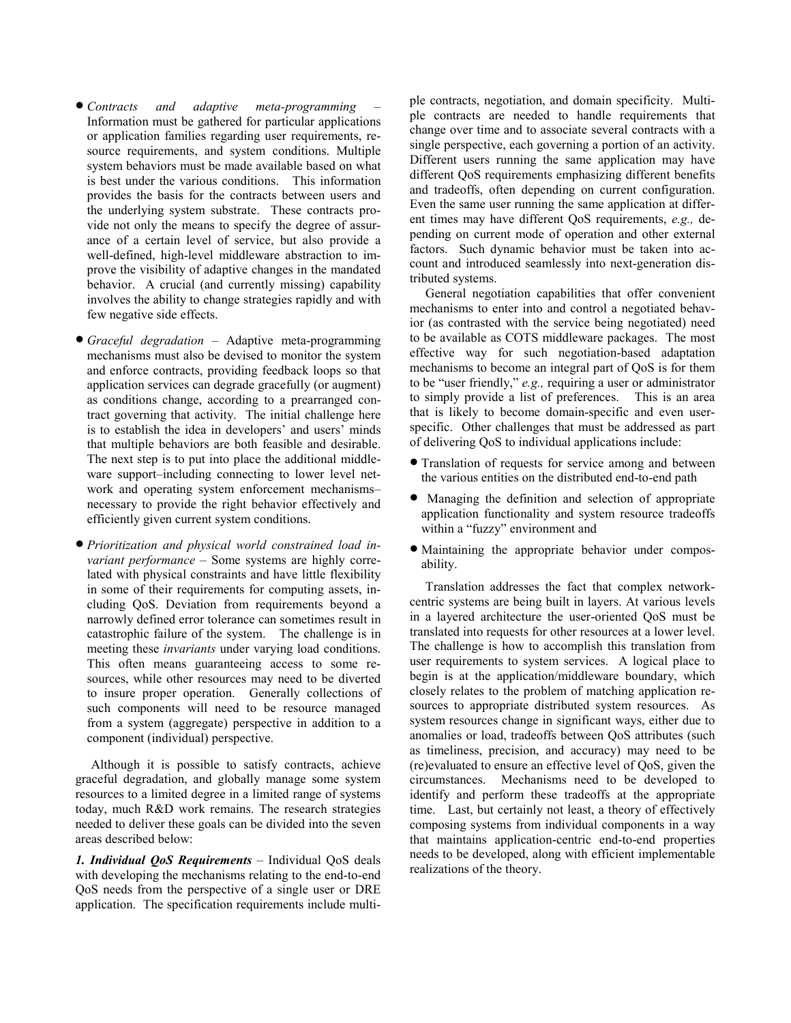- *Contracts and adaptive meta-programming* Information must be gathered for particular applications or application families regarding user requirements, resource requirements, and system conditions. Multiple system behaviors must be made available based on what is best under the various conditions. This information provides the basis for the contracts between users and the underlying system substrate. These contracts provide not only the means to specify the degree of assurance of a certain level of service, but also provide a well-defined, high-level middleware abstraction to improve the visibility of adaptive changes in the mandated behavior. A crucial (and currently missing) capability involves the ability to change strategies rapidly and with few negative side effects.
- *Graceful degradation* Adaptive meta-programming mechanisms must also be devised to monitor the system and enforce contracts, providing feedback loops so that application services can degrade gracefully (or augment) as conditions change, according to a prearranged contract governing that activity. The initial challenge here is to establish the idea in developers' and users' minds that multiple behaviors are both feasible and desirable. The next step is to put into place the additional middleware support–including connecting to lower level network and operating system enforcement mechanisms– necessary to provide the right behavior effectively and efficiently given current system conditions.
- *Prioritization and physical world constrained load invariant performance –* Some systems are highly correlated with physical constraints and have little flexibility in some of their requirements for computing assets, including QoS. Deviation from requirements beyond a narrowly defined error tolerance can sometimes result in catastrophic failure of the system. The challenge is in meeting these *invariants* under varying load conditions. This often means guaranteeing access to some resources, while other resources may need to be diverted to insure proper operation. Generally collections of such components will need to be resource managed from a system (aggregate) perspective in addition to a component (individual) perspective.

Although it is possible to satisfy contracts, achieve graceful degradation, and globally manage some system resources to a limited degree in a limited range of systems today, much R&D work remains. The research strategies needed to deliver these goals can be divided into the seven areas described below:

*1. Individual QoS Requirements* – Individual QoS deals with developing the mechanisms relating to the end-to-end QoS needs from the perspective of a single user or DRE application. The specification requirements include multiple contracts, negotiation, and domain specificity. Multiple contracts are needed to handle requirements that change over time and to associate several contracts with a single perspective, each governing a portion of an activity. Different users running the same application may have different QoS requirements emphasizing different benefits and tradeoffs, often depending on current configuration. Even the same user running the same application at different times may have different QoS requirements, *e.g.,* depending on current mode of operation and other external factors. Such dynamic behavior must be taken into account and introduced seamlessly into next-generation distributed systems.

General negotiation capabilities that offer convenient mechanisms to enter into and control a negotiated behavior (as contrasted with the service being negotiated) need to be available as COTS middleware packages. The most effective way for such negotiation-based adaptation mechanisms to become an integral part of QoS is for them to be "user friendly," *e.g.,* requiring a user or administrator to simply provide a list of preferences. This is an area that is likely to become domain-specific and even userspecific. Other challenges that must be addressed as part of delivering QoS to individual applications include:

- Translation of requests for service among and between the various entities on the distributed end-to-end path
- Managing the definition and selection of appropriate application functionality and system resource tradeoffs within a "fuzzy" environment and
- Maintaining the appropriate behavior under composability.

Translation addresses the fact that complex networkcentric systems are being built in layers. At various levels in a layered architecture the user-oriented QoS must be translated into requests for other resources at a lower level. The challenge is how to accomplish this translation from user requirements to system services. A logical place to begin is at the application/middleware boundary, which closely relates to the problem of matching application resources to appropriate distributed system resources. As system resources change in significant ways, either due to anomalies or load, tradeoffs between QoS attributes (such as timeliness, precision, and accuracy) may need to be (re)evaluated to ensure an effective level of QoS, given the circumstances. Mechanisms need to be developed to identify and perform these tradeoffs at the appropriate time. Last, but certainly not least, a theory of effectively composing systems from individual components in a way that maintains application-centric end-to-end properties needs to be developed, along with efficient implementable realizations of the theory.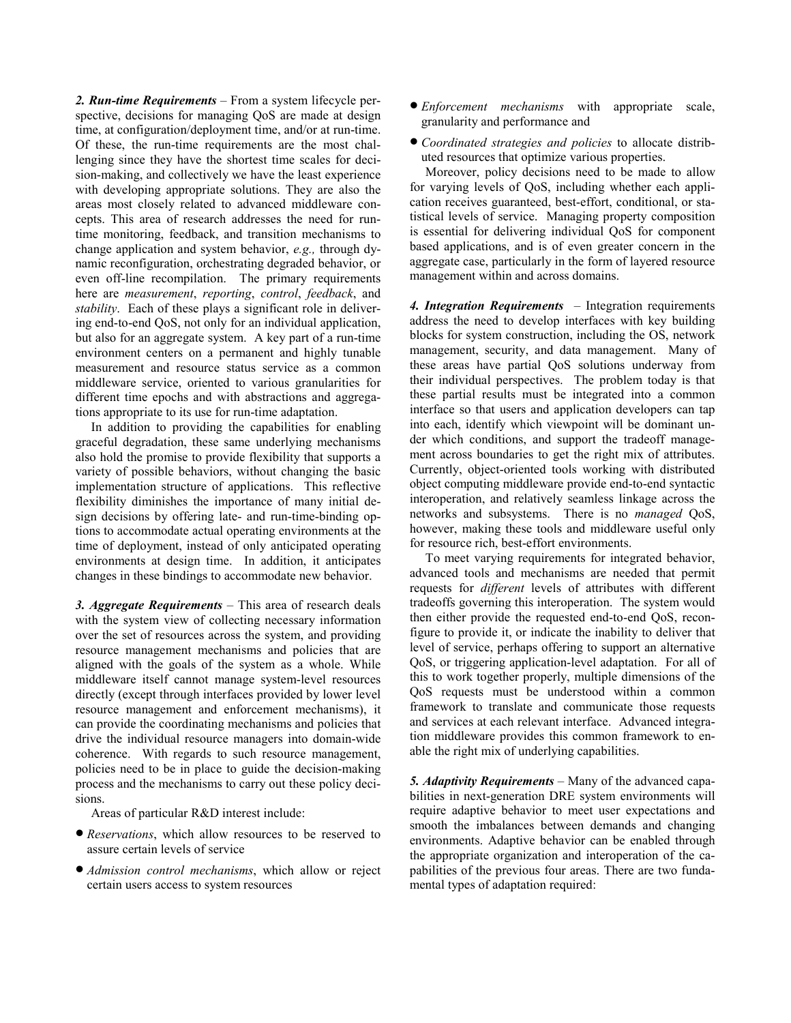*2. Run-time Requirements* – From a system lifecycle perspective, decisions for managing QoS are made at design time, at configuration/deployment time, and/or at run-time. Of these, the run-time requirements are the most challenging since they have the shortest time scales for decision-making, and collectively we have the least experience with developing appropriate solutions. They are also the areas most closely related to advanced middleware concepts. This area of research addresses the need for runtime monitoring, feedback, and transition mechanisms to change application and system behavior, *e.g.,* through dynamic reconfiguration, orchestrating degraded behavior, or even off-line recompilation. The primary requirements here are *measurement*, *reporting*, *control*, *feedback*, and *stability*. Each of these plays a significant role in delivering end-to-end QoS, not only for an individual application, but also for an aggregate system. A key part of a run-time environment centers on a permanent and highly tunable measurement and resource status service as a common middleware service, oriented to various granularities for different time epochs and with abstractions and aggregations appropriate to its use for run-time adaptation.

In addition to providing the capabilities for enabling graceful degradation, these same underlying mechanisms also hold the promise to provide flexibility that supports a variety of possible behaviors, without changing the basic implementation structure of applications. This reflective flexibility diminishes the importance of many initial design decisions by offering late- and run-time-binding options to accommodate actual operating environments at the time of deployment, instead of only anticipated operating environments at design time. In addition, it anticipates changes in these bindings to accommodate new behavior.

*3. Aggregate Requirements* – This area of research deals with the system view of collecting necessary information over the set of resources across the system, and providing resource management mechanisms and policies that are aligned with the goals of the system as a whole. While middleware itself cannot manage system-level resources directly (except through interfaces provided by lower level resource management and enforcement mechanisms), it can provide the coordinating mechanisms and policies that drive the individual resource managers into domain-wide coherence. With regards to such resource management, policies need to be in place to guide the decision-making process and the mechanisms to carry out these policy decisions.

Areas of particular R&D interest include:

- *Reservations*, which allow resources to be reserved to assure certain levels of service
- *Admission control mechanisms*, which allow or reject certain users access to system resources
- *Enforcement mechanisms* with appropriate scale, granularity and performance and
- *Coordinated strategies and policies* to allocate distributed resources that optimize various properties.

Moreover, policy decisions need to be made to allow for varying levels of QoS, including whether each application receives guaranteed, best-effort, conditional, or statistical levels of service. Managing property composition is essential for delivering individual QoS for component based applications, and is of even greater concern in the aggregate case, particularly in the form of layered resource management within and across domains.

*4. Integration Requirements* – Integration requirements address the need to develop interfaces with key building blocks for system construction, including the OS, network management, security, and data management. Many of these areas have partial QoS solutions underway from their individual perspectives. The problem today is that these partial results must be integrated into a common interface so that users and application developers can tap into each, identify which viewpoint will be dominant under which conditions, and support the tradeoff management across boundaries to get the right mix of attributes. Currently, object-oriented tools working with distributed object computing middleware provide end-to-end syntactic interoperation, and relatively seamless linkage across the networks and subsystems. There is no *managed* QoS, however, making these tools and middleware useful only for resource rich, best-effort environments.

To meet varying requirements for integrated behavior, advanced tools and mechanisms are needed that permit requests for *different* levels of attributes with different tradeoffs governing this interoperation. The system would then either provide the requested end-to-end QoS, reconfigure to provide it, or indicate the inability to deliver that level of service, perhaps offering to support an alternative QoS, or triggering application-level adaptation. For all of this to work together properly, multiple dimensions of the QoS requests must be understood within a common framework to translate and communicate those requests and services at each relevant interface. Advanced integration middleware provides this common framework to enable the right mix of underlying capabilities.

*5. Adaptivity Requirements* – Many of the advanced capabilities in next-generation DRE system environments will require adaptive behavior to meet user expectations and smooth the imbalances between demands and changing environments. Adaptive behavior can be enabled through the appropriate organization and interoperation of the capabilities of the previous four areas. There are two fundamental types of adaptation required: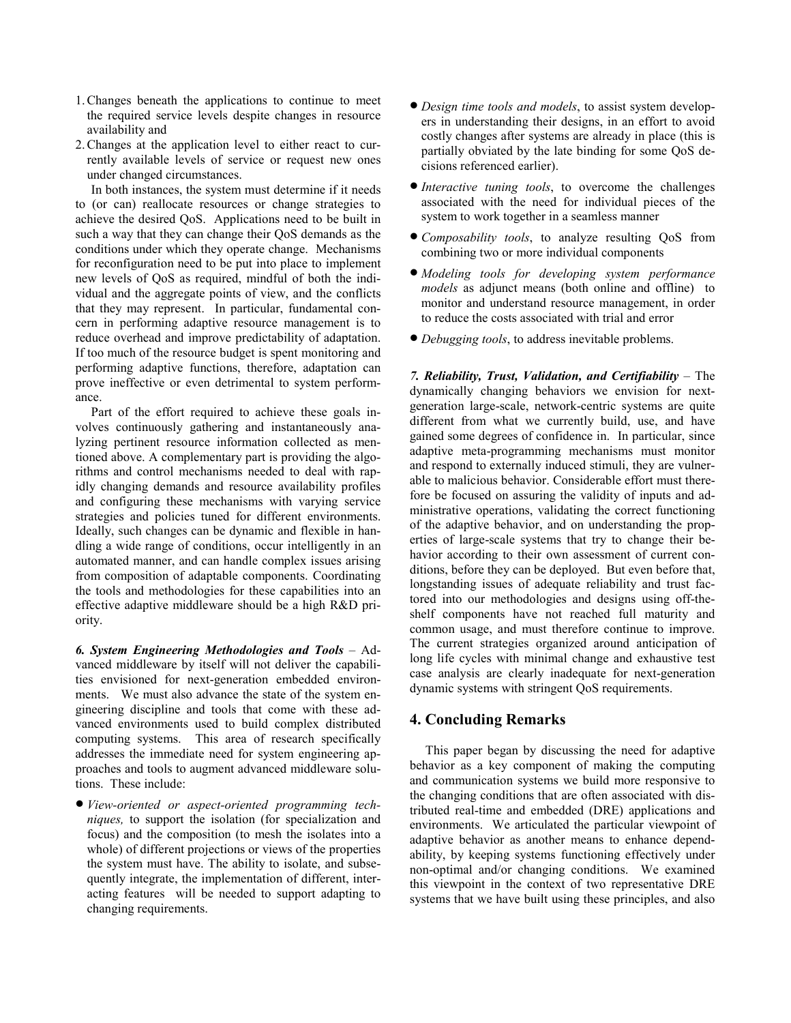- 1.Changes beneath the applications to continue to meet the required service levels despite changes in resource availability and
- 2.Changes at the application level to either react to currently available levels of service or request new ones under changed circumstances.

In both instances, the system must determine if it needs to (or can) reallocate resources or change strategies to achieve the desired QoS. Applications need to be built in such a way that they can change their QoS demands as the conditions under which they operate change. Mechanisms for reconfiguration need to be put into place to implement new levels of QoS as required, mindful of both the individual and the aggregate points of view, and the conflicts that they may represent. In particular, fundamental concern in performing adaptive resource management is to reduce overhead and improve predictability of adaptation. If too much of the resource budget is spent monitoring and performing adaptive functions, therefore, adaptation can prove ineffective or even detrimental to system performance.

Part of the effort required to achieve these goals involves continuously gathering and instantaneously analyzing pertinent resource information collected as mentioned above. A complementary part is providing the algorithms and control mechanisms needed to deal with rapidly changing demands and resource availability profiles and configuring these mechanisms with varying service strategies and policies tuned for different environments. Ideally, such changes can be dynamic and flexible in handling a wide range of conditions, occur intelligently in an automated manner, and can handle complex issues arising from composition of adaptable components. Coordinating the tools and methodologies for these capabilities into an effective adaptive middleware should be a high R&D priority.

*6. System Engineering Methodologies and Tools* – Advanced middleware by itself will not deliver the capabilities envisioned for next-generation embedded environments. We must also advance the state of the system engineering discipline and tools that come with these advanced environments used to build complex distributed computing systems. This area of research specifically addresses the immediate need for system engineering approaches and tools to augment advanced middleware solutions. These include:

• *View-oriented or aspect-oriented programming techniques,* to support the isolation (for specialization and focus) and the composition (to mesh the isolates into a whole) of different projections or views of the properties the system must have. The ability to isolate, and subsequently integrate, the implementation of different, interacting features will be needed to support adapting to changing requirements.

- *Design time tools and models*, to assist system developers in understanding their designs, in an effort to avoid costly changes after systems are already in place (this is partially obviated by the late binding for some QoS decisions referenced earlier).
- *Interactive tuning tools*, to overcome the challenges associated with the need for individual pieces of the system to work together in a seamless manner
- *Composability tools*, to analyze resulting QoS from combining two or more individual components
- *Modeling tools for developing system performance models* as adjunct means (both online and offline) to monitor and understand resource management, in order to reduce the costs associated with trial and error
- *Debugging tools*, to address inevitable problems.

*7. Reliability, Trust, Validation, and Certifiability* – The dynamically changing behaviors we envision for nextgeneration large-scale, network-centric systems are quite different from what we currently build, use, and have gained some degrees of confidence in. In particular, since adaptive meta-programming mechanisms must monitor and respond to externally induced stimuli, they are vulnerable to malicious behavior. Considerable effort must therefore be focused on assuring the validity of inputs and administrative operations, validating the correct functioning of the adaptive behavior, and on understanding the properties of large-scale systems that try to change their behavior according to their own assessment of current conditions, before they can be deployed. But even before that, longstanding issues of adequate reliability and trust factored into our methodologies and designs using off-theshelf components have not reached full maturity and common usage, and must therefore continue to improve. The current strategies organized around anticipation of long life cycles with minimal change and exhaustive test case analysis are clearly inadequate for next-generation dynamic systems with stringent QoS requirements.

## **4. Concluding Remarks**

This paper began by discussing the need for adaptive behavior as a key component of making the computing and communication systems we build more responsive to the changing conditions that are often associated with distributed real-time and embedded (DRE) applications and environments. We articulated the particular viewpoint of adaptive behavior as another means to enhance dependability, by keeping systems functioning effectively under non-optimal and/or changing conditions. We examined this viewpoint in the context of two representative DRE systems that we have built using these principles, and also